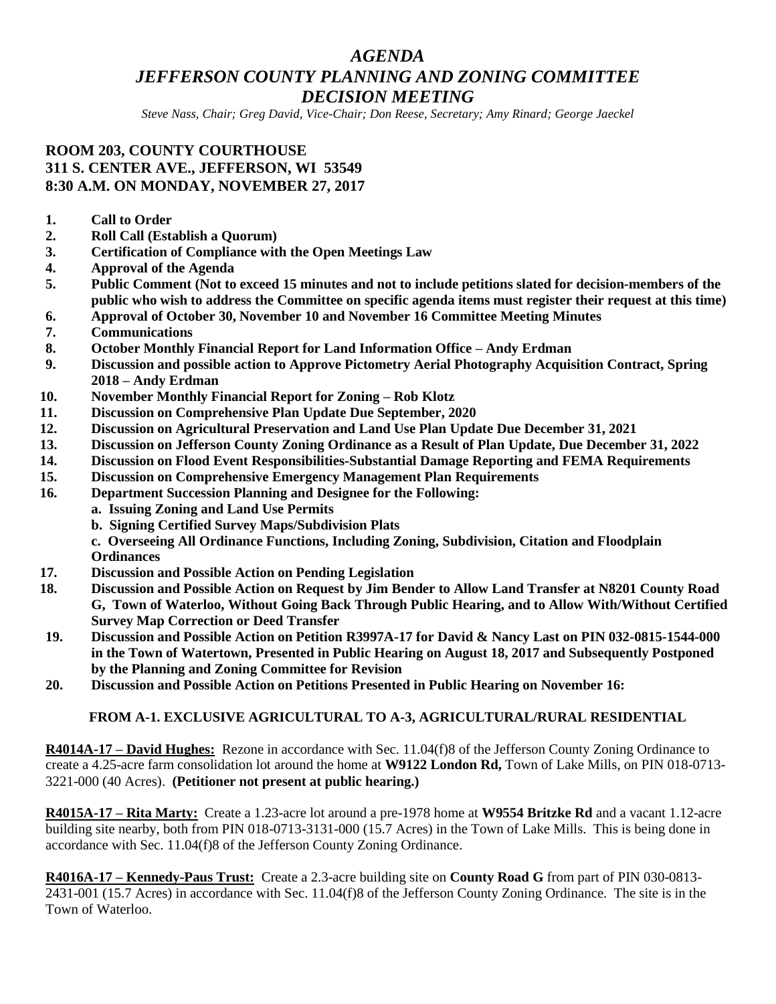# *AGENDA JEFFERSON COUNTY PLANNING AND ZONING COMMITTEE DECISION MEETING*

*Steve Nass, Chair; Greg David, Vice-Chair; Don Reese, Secretary; Amy Rinard; George Jaeckel*

## **ROOM 203, COUNTY COURTHOUSE 311 S. CENTER AVE., JEFFERSON, WI 53549 8:30 A.M. ON MONDAY, NOVEMBER 27, 2017**

- **1. Call to Order**
- **2. Roll Call (Establish a Quorum)**
- **3. Certification of Compliance with the Open Meetings Law**
- **4. Approval of the Agenda**
- **5. Public Comment (Not to exceed 15 minutes and not to include petitions slated for decision-members of the public who wish to address the Committee on specific agenda items must register their request at this time)**
- **6. Approval of October 30, November 10 and November 16 Committee Meeting Minutes**
- **7. Communications**
- **8. October Monthly Financial Report for Land Information Office – Andy Erdman**
- **9. Discussion and possible action to Approve Pictometry Aerial Photography Acquisition Contract, Spring 2018 – Andy Erdman**
- **10. November Monthly Financial Report for Zoning – Rob Klotz**
- **11. Discussion on Comprehensive Plan Update Due September, 2020**
- **12. Discussion on Agricultural Preservation and Land Use Plan Update Due December 31, 2021**
- **13. Discussion on Jefferson County Zoning Ordinance as a Result of Plan Update, Due December 31, 2022**
- **14. Discussion on Flood Event Responsibilities-Substantial Damage Reporting and FEMA Requirements**
- **15. Discussion on Comprehensive Emergency Management Plan Requirements**
- **16. Department Succession Planning and Designee for the Following:**
	- **a. Issuing Zoning and Land Use Permits**
		- **b. Signing Certified Survey Maps/Subdivision Plats**

**c. Overseeing All Ordinance Functions, Including Zoning, Subdivision, Citation and Floodplain Ordinances**

- **17. Discussion and Possible Action on Pending Legislation**
- **18. Discussion and Possible Action on Request by Jim Bender to Allow Land Transfer at N8201 County Road G, Town of Waterloo, Without Going Back Through Public Hearing, and to Allow With/Without Certified Survey Map Correction or Deed Transfer**
- **19. Discussion and Possible Action on Petition R3997A-17 for David & Nancy Last on PIN 032-0815-1544-000 in the Town of Watertown, Presented in Public Hearing on August 18, 2017 and Subsequently Postponed by the Planning and Zoning Committee for Revision**
- **20. Discussion and Possible Action on Petitions Presented in Public Hearing on November 16:**

## **FROM A-1. EXCLUSIVE AGRICULTURAL TO A-3, AGRICULTURAL/RURAL RESIDENTIAL**

**R4014A-17 – David Hughes:** Rezone in accordance with Sec. 11.04(f)8 of the Jefferson County Zoning Ordinance to create a 4.25-acre farm consolidation lot around the home at **W9122 London Rd,** Town of Lake Mills, on PIN 018-0713- 3221-000 (40 Acres). **(Petitioner not present at public hearing.)**

**R4015A-17 – Rita Marty:** Create a 1.23-acre lot around a pre-1978 home at **W9554 Britzke Rd** and a vacant 1.12-acre building site nearby, both from PIN 018-0713-3131-000 (15.7 Acres) in the Town of Lake Mills. This is being done in accordance with Sec. 11.04(f)8 of the Jefferson County Zoning Ordinance.

**R4016A-17 – Kennedy-Paus Trust:** Create a 2.3-acre building site on **County Road G** from part of PIN 030-0813- 2431-001 (15.7 Acres) in accordance with Sec. 11.04(f)8 of the Jefferson County Zoning Ordinance. The site is in the Town of Waterloo.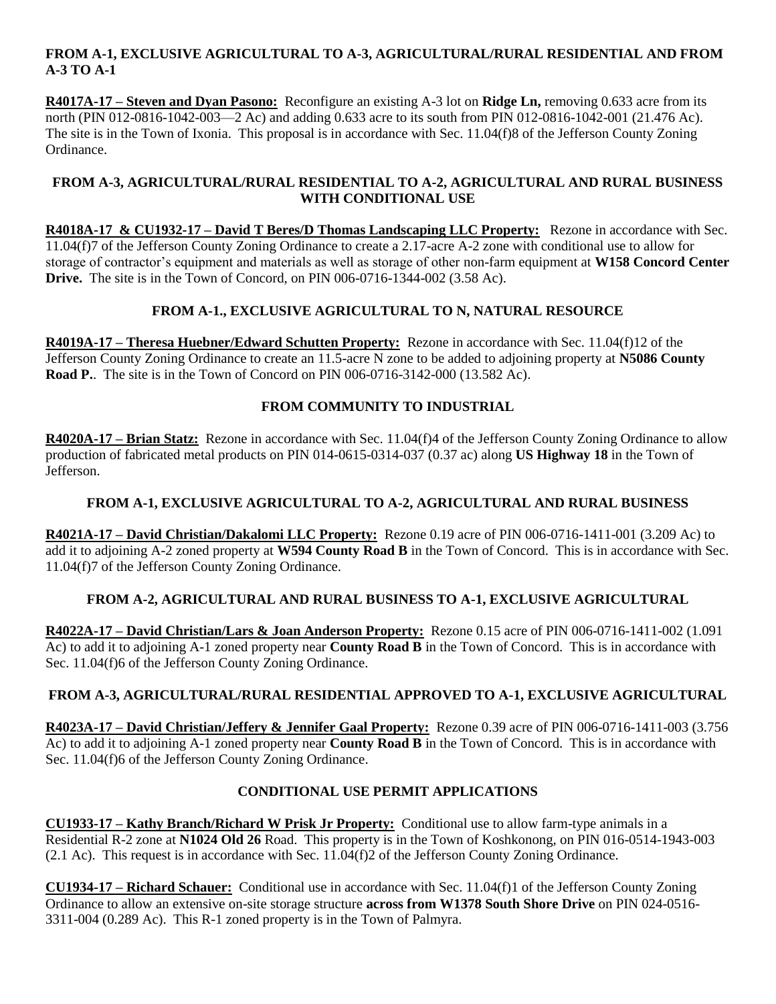#### **FROM A-1, EXCLUSIVE AGRICULTURAL TO A-3, AGRICULTURAL/RURAL RESIDENTIAL AND FROM A-3 TO A-1**

**R4017A-17 – Steven and Dyan Pasono:** Reconfigure an existing A-3 lot on **Ridge Ln,** removing 0.633 acre from its north (PIN 012-0816-1042-003—2 Ac) and adding 0.633 acre to its south from PIN 012-0816-1042-001 (21.476 Ac). The site is in the Town of Ixonia. This proposal is in accordance with Sec. 11.04(f)8 of the Jefferson County Zoning Ordinance.

#### **FROM A-3, AGRICULTURAL/RURAL RESIDENTIAL TO A-2, AGRICULTURAL AND RURAL BUSINESS WITH CONDITIONAL USE**

**R4018A-17 & CU1932-17 – David T Beres/D Thomas Landscaping LLC Property:** Rezone in accordance with Sec. 11.04(f)7 of the Jefferson County Zoning Ordinance to create a 2.17-acre A-2 zone with conditional use to allow for storage of contractor's equipment and materials as well as storage of other non-farm equipment at **W158 Concord Center Drive.** The site is in the Town of Concord, on PIN 006-0716-1344-002 (3.58 Ac).

## **FROM A-1., EXCLUSIVE AGRICULTURAL TO N, NATURAL RESOURCE**

**R4019A-17 – Theresa Huebner/Edward Schutten Property:** Rezone in accordance with Sec. 11.04(f)12 of the Jefferson County Zoning Ordinance to create an 11.5-acre N zone to be added to adjoining property at **N5086 County Road P.**. The site is in the Town of Concord on PIN 006-0716-3142-000 (13.582 Ac).

## **FROM COMMUNITY TO INDUSTRIAL**

**R4020A-17 – Brian Statz:** Rezone in accordance with Sec. 11.04(f)4 of the Jefferson County Zoning Ordinance to allow production of fabricated metal products on PIN 014-0615-0314-037 (0.37 ac) along **US Highway 18** in the Town of Jefferson.

## **FROM A-1, EXCLUSIVE AGRICULTURAL TO A-2, AGRICULTURAL AND RURAL BUSINESS**

**R4021A-17 – David Christian/Dakalomi LLC Property:** Rezone 0.19 acre of PIN 006-0716-1411-001 (3.209 Ac) to add it to adjoining A-2 zoned property at **W594 County Road B** in the Town of Concord. This is in accordance with Sec. 11.04(f)7 of the Jefferson County Zoning Ordinance.

## **FROM A-2, AGRICULTURAL AND RURAL BUSINESS TO A-1, EXCLUSIVE AGRICULTURAL**

**R4022A-17 – David Christian/Lars & Joan Anderson Property:** Rezone 0.15 acre of PIN 006-0716-1411-002 (1.091 Ac) to add it to adjoining A-1 zoned property near **County Road B** in the Town of Concord. This is in accordance with Sec. 11.04(f)6 of the Jefferson County Zoning Ordinance.

## **FROM A-3, AGRICULTURAL/RURAL RESIDENTIAL APPROVED TO A-1, EXCLUSIVE AGRICULTURAL**

**R4023A-17 – David Christian/Jeffery & Jennifer Gaal Property:** Rezone 0.39 acre of PIN 006-0716-1411-003 (3.756 Ac) to add it to adjoining A-1 zoned property near **County Road B** in the Town of Concord. This is in accordance with Sec. 11.04(f)6 of the Jefferson County Zoning Ordinance.

## **CONDITIONAL USE PERMIT APPLICATIONS**

**CU1933-17 – Kathy Branch/Richard W Prisk Jr Property:** Conditional use to allow farm-type animals in a Residential R-2 zone at **N1024 Old 26** Road. This property is in the Town of Koshkonong, on PIN 016-0514-1943-003 (2.1 Ac). This request is in accordance with Sec. 11.04(f)2 of the Jefferson County Zoning Ordinance.

**CU1934-17 – Richard Schauer:** Conditional use in accordance with Sec. 11.04(f)1 of the Jefferson County Zoning Ordinance to allow an extensive on-site storage structure **across from W1378 South Shore Drive** on PIN 024-0516- 3311-004 (0.289 Ac). This R-1 zoned property is in the Town of Palmyra.